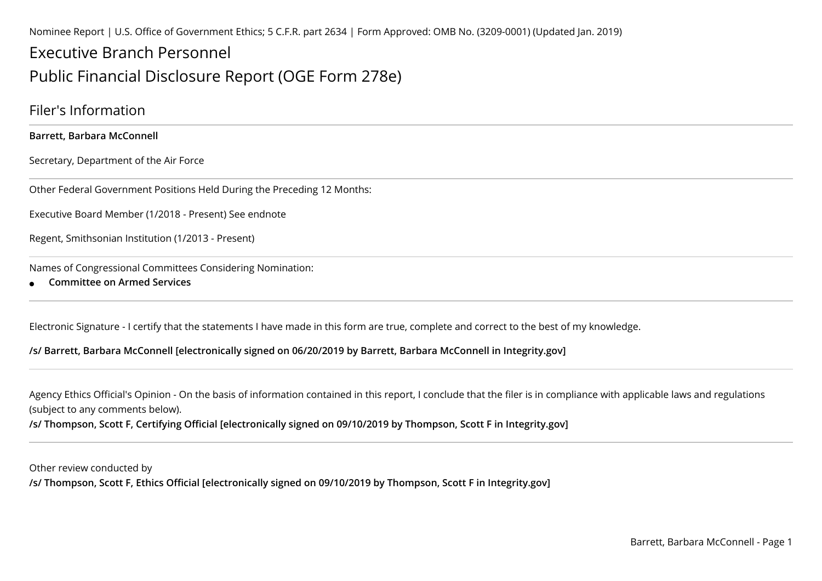Nominee Report | U.S. Office of Government Ethics; 5 C.F.R. part 2634 | Form Approved: OMB No. (3209-0001) (Updated Jan. 2019)

# Executive Branch Personnel

# Public Financial Disclosure Report (OGE Form 278e)

### Filer's Information

**Barrett, Barbara McConnell**

Secretary, Department of the Air Force

Other Federal Government Positions Held During the Preceding 12 Months:

Executive Board Member (1/2018 - Present) See endnote

Regent, Smithsonian Institution (1/2013 - Present)

Names of Congressional Committees Considering Nomination:

●**Committee on Armed Services**

Electronic Signature - I certify that the statements I have made in this form are true, complete and correct to the best of my knowledge.

#### **/s/ Barrett, Barbara McConnell [electronically signed on 06/20/2019 by Barrett, Barbara McConnell in Integrity.gov]**

Agency Ethics Official's Opinion - On the basis of information contained in this report, I conclude that the filer is in compliance with applicable laws and regulations(subject to any comments below).

**/s/ Thompson, Scott F, Certifying Official [electronically signed on 09/10/2019 by Thompson, Scott F in Integrity.gov]**

Other review conducted by**/s/ Thompson, Scott F, Ethics Official [electronically signed on 09/10/2019 by Thompson, Scott F in Integrity.gov]**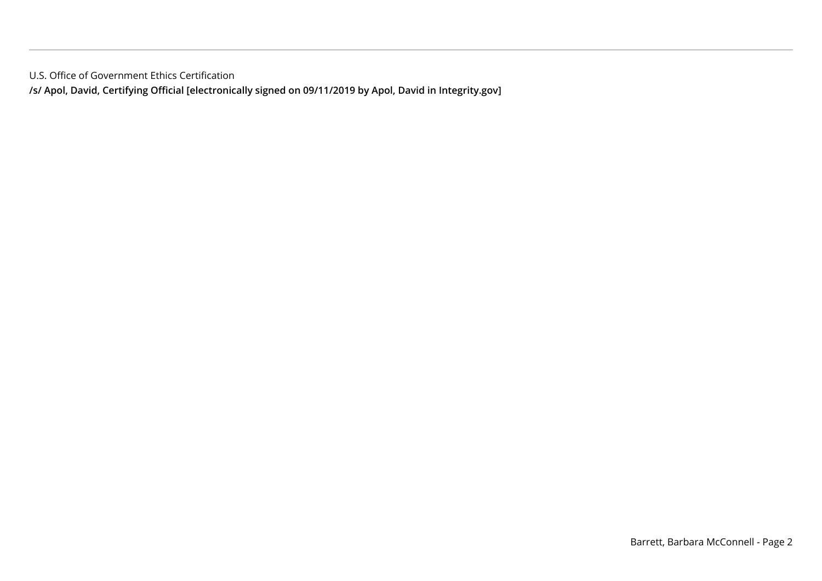U.S. Office of Government Ethics Certification

**/s/ Apol, David, Certifying Official [electronically signed on 09/11/2019 by Apol, David in Integrity.gov]**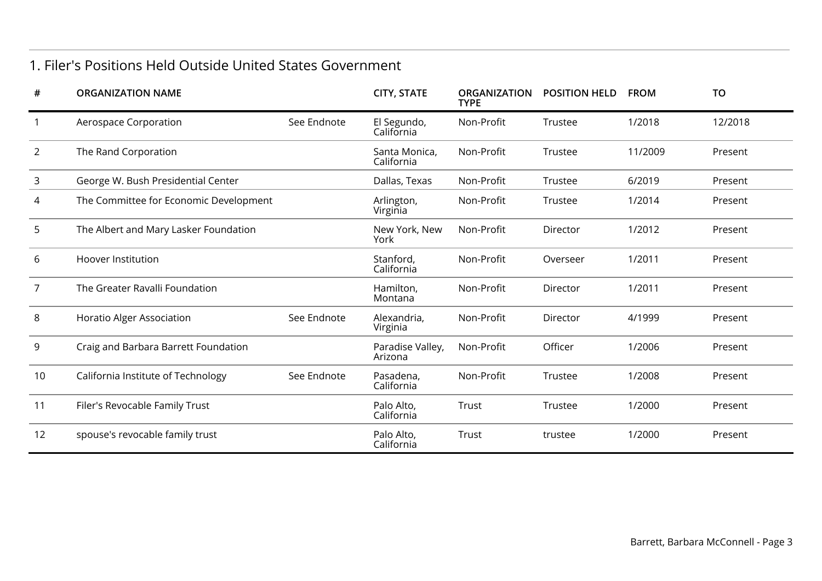### 1. Filer's Positions Held Outside United States Government

| #              | <b>ORGANIZATION NAME</b>               |             | <b>CITY, STATE</b>          | <b>ORGANIZATION</b><br><b>TYPE</b> | <b>POSITION HELD</b> | <b>FROM</b> | TO      |
|----------------|----------------------------------------|-------------|-----------------------------|------------------------------------|----------------------|-------------|---------|
|                | Aerospace Corporation                  | See Endnote | El Segundo,<br>California   | Non-Profit                         | Trustee              | 1/2018      | 12/2018 |
| 2              | The Rand Corporation                   |             | Santa Monica,<br>California | Non-Profit                         | Trustee              | 11/2009     | Present |
| 3              | George W. Bush Presidential Center     |             | Dallas, Texas               | Non-Profit                         | Trustee              | 6/2019      | Present |
| 4              | The Committee for Economic Development |             | Arlington,<br>Virginia      | Non-Profit                         | Trustee              | 1/2014      | Present |
| 5              | The Albert and Mary Lasker Foundation  |             | New York, New<br>York       | Non-Profit                         | Director             | 1/2012      | Present |
| 6              | Hoover Institution                     |             | Stanford,<br>California     | Non-Profit                         | Overseer             | 1/2011      | Present |
| $\overline{7}$ | The Greater Ravalli Foundation         |             | Hamilton,<br>Montana        | Non-Profit                         | Director             | 1/2011      | Present |
| 8              | Horatio Alger Association              | See Endnote | Alexandria,<br>Virginia     | Non-Profit                         | Director             | 4/1999      | Present |
| 9              | Craig and Barbara Barrett Foundation   |             | Paradise Valley,<br>Arizona | Non-Profit                         | Officer              | 1/2006      | Present |
| 10             | California Institute of Technology     | See Endnote | Pasadena,<br>California     | Non-Profit                         | Trustee              | 1/2008      | Present |
| 11             | Filer's Revocable Family Trust         |             | Palo Alto,<br>California    | Trust                              | Trustee              | 1/2000      | Present |
| 12             | spouse's revocable family trust        |             | Palo Alto,<br>California    | Trust                              | trustee              | 1/2000      | Present |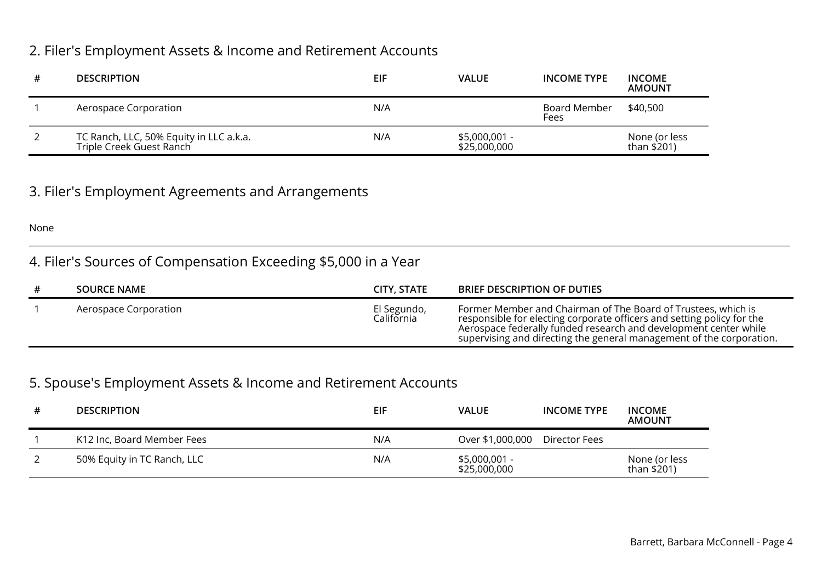### 2. Filer's Employment Assets & Income and Retirement Accounts

| # | <b>DESCRIPTION</b>                                                  | EIF | <b>VALUE</b>                  | <b>INCOME TYPE</b>   | <b>INCOME</b><br><b>AMOUNT</b> |
|---|---------------------------------------------------------------------|-----|-------------------------------|----------------------|--------------------------------|
|   | Aerospace Corporation                                               | N/A |                               | Board Member<br>Fees | \$40,500                       |
|   | TC Ranch, LLC, 50% Equity in LLC a.k.a.<br>Triple Creek Guest Ranch | N/A | \$5,000,001 -<br>\$25,000,000 |                      | None (or less<br>than \$201)   |

### 3. Filer's Employment Agreements and Arrangements

None

## 4. Filer's Sources of Compensation Exceeding \$5,000 in a Year

| <b>SOURCE NAME</b>    | CITY, STATE               | <b>BRIEF DESCRIPTION OF DUTIES</b>                                                                                                                                                                                                                                                  |
|-----------------------|---------------------------|-------------------------------------------------------------------------------------------------------------------------------------------------------------------------------------------------------------------------------------------------------------------------------------|
| Aerospace Corporation | El Segundo,<br>California | Former Member and Chairman of The Board of Trustees, which is<br>responsible for electing corporate officers and setting policy for the<br>Aerospace federally funded research and development center while<br>supervising and directing the general management of the corporation. |

### 5. Spouse's Employment Assets & Income and Retirement Accounts

| <b>DESCRIPTION</b>          | EIF | <b>VALUE</b>                   | <b>INCOME TYPE</b> | <b>INCOME</b><br><b>AMOUNT</b> |
|-----------------------------|-----|--------------------------------|--------------------|--------------------------------|
| K12 Inc, Board Member Fees  | N/A | Over \$1,000,000               | Director Fees      |                                |
| 50% Equity in TC Ranch, LLC | N/A | $$5,000,001 -$<br>\$25,000,000 |                    | None (or less<br>than \$201)   |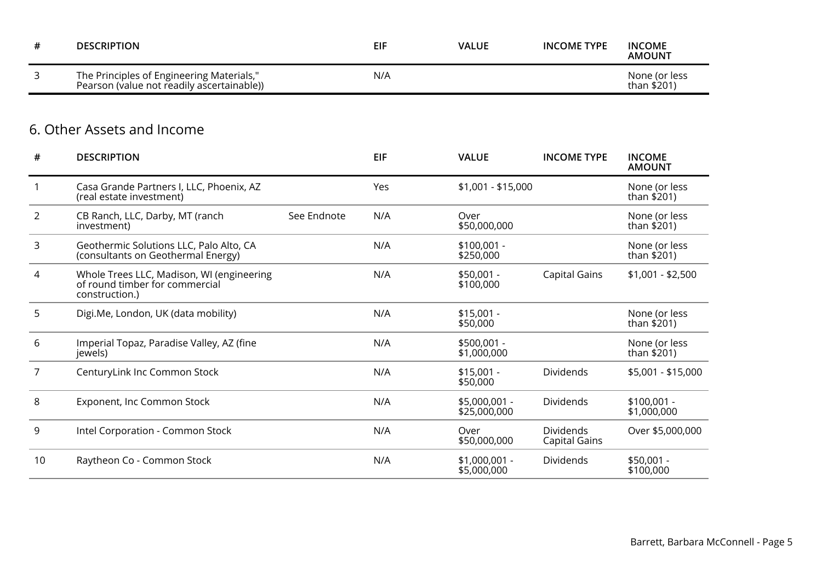| <b>DESCRIPTION</b>                                                                      | <b>EIF</b> | <b>VALUE</b> | <b>INCOME TYPE</b> | <b>INCOME</b><br><b>AMOUNT</b> |
|-----------------------------------------------------------------------------------------|------------|--------------|--------------------|--------------------------------|
| The Principles of Engineering Materials,"<br>Pearson (value not readily ascertainable)) | N/A        |              |                    | None (or less<br>than \$201)   |

### 6. Other Assets and Income

| #              | <b>DESCRIPTION</b>                                                                            |             | <b>EIF</b> | <b>VALUE</b>                   | <b>INCOME TYPE</b>         | <b>INCOME</b><br><b>AMOUNT</b> |
|----------------|-----------------------------------------------------------------------------------------------|-------------|------------|--------------------------------|----------------------------|--------------------------------|
|                | Casa Grande Partners I, LLC, Phoenix, AZ<br>(real estate investment)                          |             | Yes        | \$1,001 - \$15,000             |                            | None (or less<br>than \$201)   |
| $\overline{2}$ | CB Ranch, LLC, Darby, MT (ranch<br>investment)                                                | See Endnote | N/A        | Over<br>\$50,000,000           |                            | None (or less<br>than \$201)   |
| 3              | Geothermic Solutions LLC, Palo Alto, CA<br>(consultants on Geothermal Energy)                 |             | N/A        | $$100,001 -$<br>\$250,000      |                            | None (or less<br>than \$201)   |
| 4              | Whole Trees LLC, Madison, WI (engineering<br>of round timber for commercial<br>construction.) |             | N/A        | $$50,001 -$<br>\$100,000       | Capital Gains              | $$1,001 - $2,500$              |
| 5              | Digi.Me, London, UK (data mobility)                                                           |             | N/A        | $$15,001 -$<br>\$50,000        |                            | None (or less<br>than \$201)   |
| 6              | Imperial Topaz, Paradise Valley, AZ (fine<br>jewels)                                          |             | N/A        | \$500,001 -<br>\$1,000,000     |                            | None (or less<br>than \$201)   |
| 7              | CenturyLink Inc Common Stock                                                                  |             | N/A        | $$15,001 -$<br>\$50,000        | Dividends                  | \$5,001 - \$15,000             |
| 8              | Exponent, Inc Common Stock                                                                    |             | N/A        | $$5,000,001 -$<br>\$25,000,000 | Dividends                  | $$100,001 -$<br>\$1,000,000    |
| 9              | Intel Corporation - Common Stock                                                              |             | N/A        | Over<br>\$50,000,000           | Dividends<br>Capital Gains | Over \$5,000,000               |
| 10             | Raytheon Co - Common Stock                                                                    |             | N/A        | $$1,000,001 -$<br>\$5,000,000  | Dividends                  | $$50,001 -$<br>\$100,000       |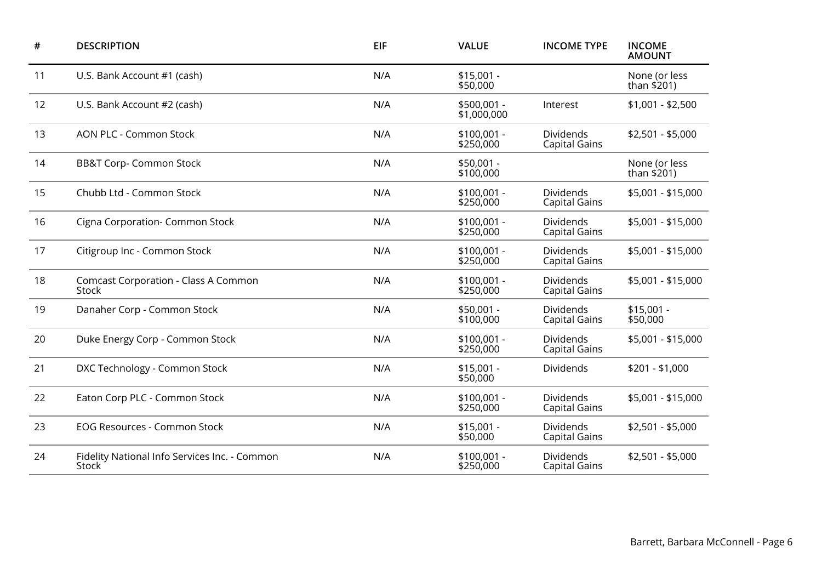| #  | <b>DESCRIPTION</b>                                     | <b>EIF</b> | <b>VALUE</b>               | <b>INCOME TYPE</b>                       |                              |
|----|--------------------------------------------------------|------------|----------------------------|------------------------------------------|------------------------------|
| 11 | U.S. Bank Account #1 (cash)                            | N/A        | $$15,001 -$<br>\$50,000    |                                          | None (or less<br>than \$201) |
| 12 | U.S. Bank Account #2 (cash)                            | N/A        | \$500,001 -<br>\$1,000,000 | Interest                                 | $$1,001 - $2,500$            |
| 13 | <b>AON PLC - Common Stock</b>                          | N/A        | $$100,001 -$<br>\$250,000  | Dividends<br><b>Capital Gains</b>        | $$2,501 - $5,000$            |
| 14 | <b>BB&amp;T Corp- Common Stock</b>                     | N/A        | $$50,001 -$<br>\$100,000   |                                          | None (or less<br>than \$201) |
| 15 | Chubb Ltd - Common Stock                               | N/A        | $$100,001 -$<br>\$250,000  | <b>Dividends</b><br><b>Capital Gains</b> | \$5,001 - \$15,000           |
| 16 | Cigna Corporation- Common Stock                        | N/A        | $$100,001 -$<br>\$250,000  | Dividends<br><b>Capital Gains</b>        | \$5,001 - \$15,000           |
| 17 | Citigroup Inc - Common Stock                           | N/A        | $$100,001 -$<br>\$250,000  | Dividends<br><b>Capital Gains</b>        | \$5,001 - \$15,000           |
| 18 | <b>Comcast Corporation - Class A Common</b><br>Stock   | N/A        | $$100,001 -$<br>\$250,000  | Dividends<br><b>Capital Gains</b>        | \$5,001 - \$15,000           |
| 19 | Danaher Corp - Common Stock                            | N/A        | $$50,001 -$<br>\$100,000   | Dividends<br><b>Capital Gains</b>        | $$15,001 -$<br>\$50,000      |
| 20 | Duke Energy Corp - Common Stock                        | N/A        | $$100,001 -$<br>\$250,000  | Dividends<br><b>Capital Gains</b>        | \$5,001 - \$15,000           |
| 21 | DXC Technology - Common Stock                          | N/A        | $$15,001 -$<br>\$50,000    | Dividends                                | $$201 - $1,000$              |
| 22 | Eaton Corp PLC - Common Stock                          | N/A        | $$100,001 -$<br>\$250,000  | Dividends<br><b>Capital Gains</b>        | \$5,001 - \$15,000           |
| 23 | <b>EOG Resources - Common Stock</b>                    | N/A        | $$15,001 -$<br>\$50,000    | Dividends<br><b>Capital Gains</b>        | $$2,501 - $5,000$            |
| 24 | Fidelity National Info Services Inc. - Common<br>Stock | N/A        | $$100,001 -$<br>\$250,000  | Dividends<br><b>Capital Gains</b>        | $$2,501 - $5,000$            |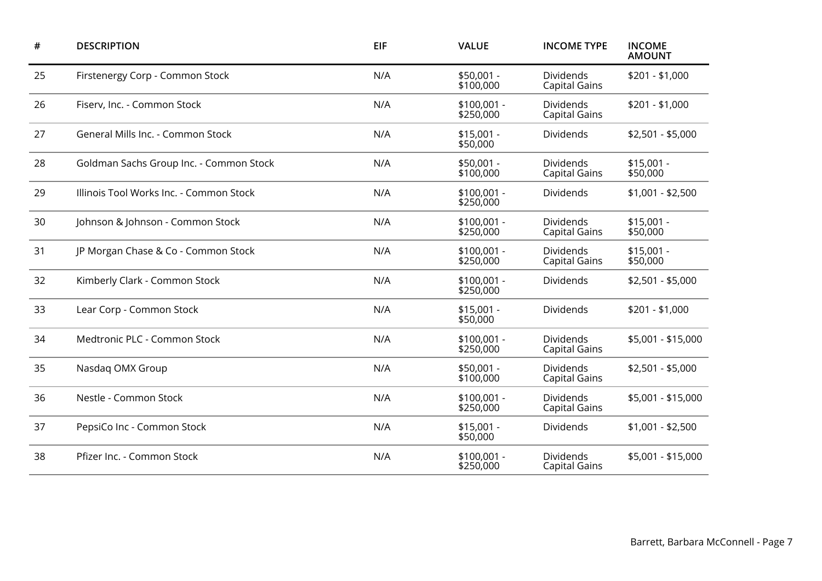| <b>DESCRIPTION</b>                      | <b>EIF</b> | <b>VALUE</b>              | <b>INCOME TYPE</b>                       | <b>INCOME</b><br><b>AMOUNT</b> |
|-----------------------------------------|------------|---------------------------|------------------------------------------|--------------------------------|
| Firstenergy Corp - Common Stock         | N/A        | $$50,001 -$<br>\$100,000  | <b>Dividends</b><br><b>Capital Gains</b> |                                |
| Fiserv, Inc. - Common Stock             | N/A        | \$100,001 -<br>\$250,000  | Dividends<br><b>Capital Gains</b>        | $$201 - $1,000$                |
| General Mills Inc. - Common Stock       | N/A        | $$15,001 -$<br>\$50,000   | Dividends                                | $$2,501 - $5,000$              |
| Goldman Sachs Group Inc. - Common Stock | N/A        | $$50,001 -$<br>\$100,000  | Dividends<br><b>Capital Gains</b>        | $$15,001 -$<br>\$50,000        |
| Illinois Tool Works Inc. - Common Stock | N/A        | $$100,001 -$<br>\$250,000 | Dividends                                | $$1,001 - $2,500$              |
| Johnson & Johnson - Common Stock        | N/A        | $$100,001 -$<br>\$250,000 | Dividends<br><b>Capital Gains</b>        | $$15,001 -$<br>\$50,000        |
| JP Morgan Chase & Co - Common Stock     | N/A        | $$100,001 -$<br>\$250,000 | Dividends<br><b>Capital Gains</b>        | $$15,001 -$<br>\$50,000        |
| Kimberly Clark - Common Stock           | N/A        | $$100,001 -$<br>\$250,000 | Dividends                                | $$2,501 - $5,000$              |
| Lear Corp - Common Stock                | N/A        | $$15,001 -$<br>\$50,000   | Dividends                                | $$201 - $1,000$                |
| Medtronic PLC - Common Stock            | N/A        | $$100,001 -$<br>\$250,000 | Dividends<br><b>Capital Gains</b>        | \$5,001 - \$15,000             |
| Nasdag OMX Group                        | N/A        | $$50,001 -$<br>\$100,000  | Dividends<br><b>Capital Gains</b>        | $$2,501 - $5,000$              |
| Nestle - Common Stock                   | N/A        | $$100,001 -$<br>\$250,000 | Dividends<br><b>Capital Gains</b>        | \$5,001 - \$15,000             |
| PepsiCo Inc - Common Stock              | N/A        | $$15,001 -$<br>\$50,000   | <b>Dividends</b>                         | $$1,001 - $2,500$              |
| Pfizer Inc. - Common Stock              | N/A        | $$100,001 -$<br>\$250,000 | Dividends<br><b>Capital Gains</b>        | \$5,001 - \$15,000             |
|                                         |            |                           |                                          |                                |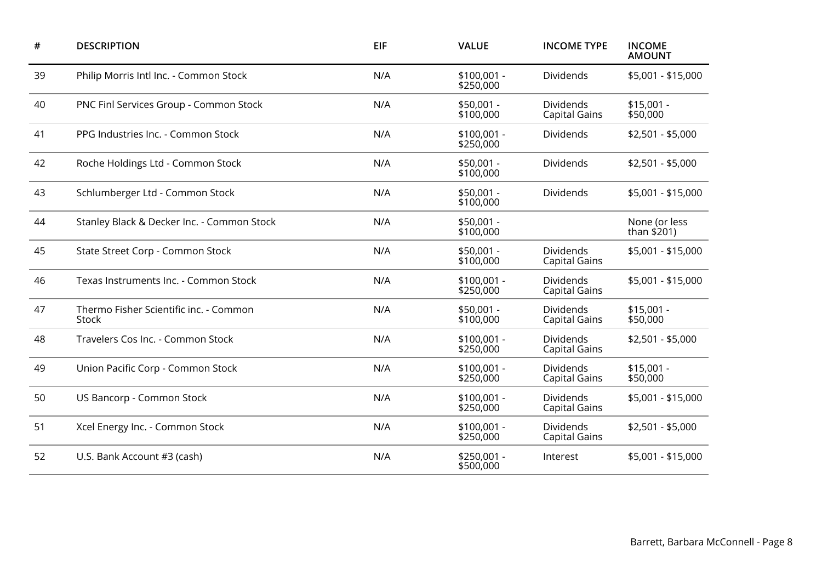| #  | <b>DESCRIPTION</b>                              | <b>EIF</b> | <b>VALUE</b>                                                          | <b>INCOME TYPE</b>                       | <b>INCOME</b><br><b>AMOUNT</b> |
|----|-------------------------------------------------|------------|-----------------------------------------------------------------------|------------------------------------------|--------------------------------|
| 39 | Philip Morris Intl Inc. - Common Stock          | N/A        | $$100,001 -$<br>Dividends<br>\$250,000                                |                                          | \$5,001 - \$15,000             |
| 40 | PNC Finl Services Group - Common Stock          | N/A        | $$50,001 -$<br>\$100,000                                              | Dividends<br><b>Capital Gains</b>        |                                |
| 41 | PPG Industries Inc. - Common Stock              | N/A        | $$100,001 -$<br>\$250,000                                             | Dividends                                | $$2,501 - $5,000$              |
| 42 | Roche Holdings Ltd - Common Stock               | N/A        | $$50,001 -$<br>\$100,000                                              | Dividends                                | $$2,501 - $5,000$              |
| 43 | Schlumberger Ltd - Common Stock                 | N/A        | $$50,001 -$<br>\$100,000                                              | Dividends                                | \$5,001 - \$15,000             |
| 44 | Stanley Black & Decker Inc. - Common Stock      | N/A        | $$50,001 -$<br>\$100,000                                              |                                          | None (or less<br>than \$201)   |
| 45 | State Street Corp - Common Stock                | N/A        | $$50,001 -$<br>\$100,000                                              | Dividends<br><b>Capital Gains</b>        |                                |
| 46 | Texas Instruments Inc. - Common Stock           | N/A        | $$100,001 -$<br>\$250,000                                             | Dividends<br><b>Capital Gains</b>        | \$5,001 - \$15,000             |
| 47 | Thermo Fisher Scientific inc. - Common<br>Stock | N/A        | $$50,001 -$<br>\$100,000                                              | <b>Dividends</b><br><b>Capital Gains</b> | $$15,001 -$<br>\$50,000        |
| 48 | Travelers Cos Inc. - Common Stock               | N/A        | $$100,001 -$<br>\$250,000                                             | <b>Dividends</b><br><b>Capital Gains</b> | \$2,501 - \$5,000              |
| 49 | Union Pacific Corp - Common Stock               | N/A        | $$100,001 -$<br>\$250,000                                             | Dividends<br><b>Capital Gains</b>        | $$15,001 -$<br>\$50,000        |
| 50 | <b>US Bancorp - Common Stock</b>                | N/A        | <b>Dividends</b><br>$$100,001 -$<br>\$250,000<br><b>Capital Gains</b> |                                          | \$5,001 - \$15,000             |
| 51 | Xcel Energy Inc. - Common Stock                 | N/A        | $$100,001 -$<br>\$250,000                                             | <b>Dividends</b><br><b>Capital Gains</b> | $$2,501 - $5,000$              |
| 52 | U.S. Bank Account #3 (cash)                     | N/A        | $$250,001 -$<br>\$500,000                                             | Interest                                 | \$5,001 - \$15,000             |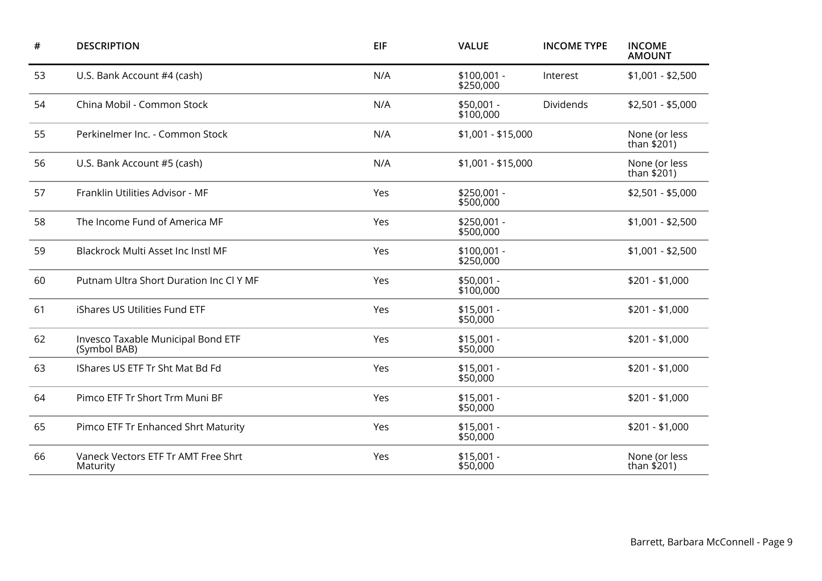| #  | <b>DESCRIPTION</b>                                 | EIF | <b>VALUE</b>              | <b>INCOME TYPE</b> | <b>INCOME</b><br><b>AMOUNT</b> |
|----|----------------------------------------------------|-----|---------------------------|--------------------|--------------------------------|
| 53 | U.S. Bank Account #4 (cash)                        | N/A | $$100,001 -$<br>\$250,000 | Interest           | $$1,001 - $2,500$              |
| 54 | China Mobil - Common Stock                         | N/A | $$50,001 -$<br>\$100,000  | Dividends          | $$2,501 - $5,000$              |
| 55 | Perkinelmer Inc. - Common Stock                    | N/A | \$1,001 - \$15,000        |                    | None (or less<br>than \$201)   |
| 56 | U.S. Bank Account #5 (cash)                        | N/A | \$1,001 - \$15,000        |                    | None (or less<br>than \$201)   |
| 57 | Franklin Utilities Advisor - MF                    | Yes | \$250,001 -<br>\$500,000  |                    | $$2,501 - $5,000$              |
| 58 | The Income Fund of America MF                      | Yes | \$250,001 -<br>\$500,000  |                    | $$1,001 - $2,500$              |
| 59 | Blackrock Multi Asset Inc Instl MF                 | Yes | $$100,001 -$<br>\$250,000 |                    | $$1,001 - $2,500$              |
| 60 | Putnam Ultra Short Duration Inc Cl Y MF            | Yes | $$50,001 -$<br>\$100,000  |                    | $$201 - $1,000$                |
| 61 | iShares US Utilities Fund ETF                      | Yes | $$15,001 -$<br>\$50,000   |                    | $$201 - $1,000$                |
| 62 | Invesco Taxable Municipal Bond ETF<br>(Symbol BAB) | Yes | $$15,001 -$<br>\$50,000   |                    | $$201 - $1,000$                |
| 63 | IShares US ETF Tr Sht Mat Bd Fd                    | Yes | $$15,001 -$<br>\$50,000   |                    | $$201 - $1,000$                |
| 64 | Pimco ETF Tr Short Trm Muni BF                     | Yes | $$15,001 -$<br>\$50,000   |                    | $$201 - $1,000$                |
| 65 | Pimco ETF Tr Enhanced Shrt Maturity                | Yes | $$15,001 -$<br>\$50,000   |                    | $$201 - $1,000$                |
| 66 | Vaneck Vectors ETF Tr AMT Free Shrt<br>Maturity    | Yes | $$15,001 -$<br>\$50,000   |                    | None (or less<br>than \$201)   |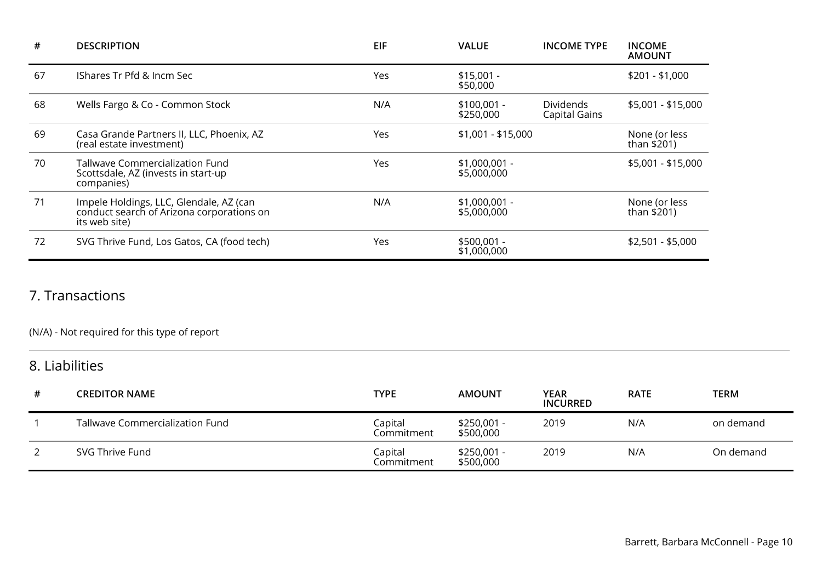| #  | <b>DESCRIPTION</b>                                                                                    | <b>EIF</b> | <b>VALUE</b>                  | <b>INCOME TYPE</b>                | <b>INCOME</b><br><b>AMOUNT</b> |
|----|-------------------------------------------------------------------------------------------------------|------------|-------------------------------|-----------------------------------|--------------------------------|
| 67 | IShares Tr Pfd & Incm Sec                                                                             | Yes        | $$15,001 -$<br>\$50,000       |                                   | $$201 - $1,000$                |
| 68 | Wells Fargo & Co - Common Stock                                                                       | N/A        | $$100,001 -$<br>\$250,000     | <b>Dividends</b><br>Capital Gains | \$5,001 - \$15,000             |
| 69 | Casa Grande Partners II, LLC, Phoenix, AZ<br>(real estate investment)                                 | Yes        | $$1,001 - $15,000$            |                                   | None (or less<br>than \$201)   |
| 70 | <b>Tallwave Commercialization Fund</b><br>Scottsdale, AZ (invests in start-up<br>companies)           | Yes        | $$1,000,001 -$<br>\$5,000,000 |                                   | \$5,001 - \$15,000             |
| 71 | Impele Holdings, LLC, Glendale, AZ (can<br>conduct search of Arizona corporations on<br>its web site) | N/A        | $$1,000,001 -$<br>\$5,000,000 |                                   | None (or less<br>than $$201)$  |
| 72 | SVG Thrive Fund, Los Gatos, CA (food tech)                                                            | Yes        | $$500,001 -$<br>\$1,000,000   |                                   | $$2,501 - $5,000$              |

### 7. Transactions

### (N/A) - Not required for this type of report

# 8. Liabilities

| # | <b>CREDITOR NAME</b>            | <b>TYPE</b>           | <b>AMOUNT</b>            | YEAR<br><b>INCURRED</b> | <b>RATE</b> | TERM      |
|---|---------------------------------|-----------------------|--------------------------|-------------------------|-------------|-----------|
|   | Tallwave Commercialization Fund | Capital<br>Commitment | \$250,001 -<br>\$500,000 | 2019                    | N/A         | on demand |
|   | SVG Thrive Fund                 | Capital<br>Commitment | \$250,001 -<br>\$500,000 | 2019                    | N/A         | On demand |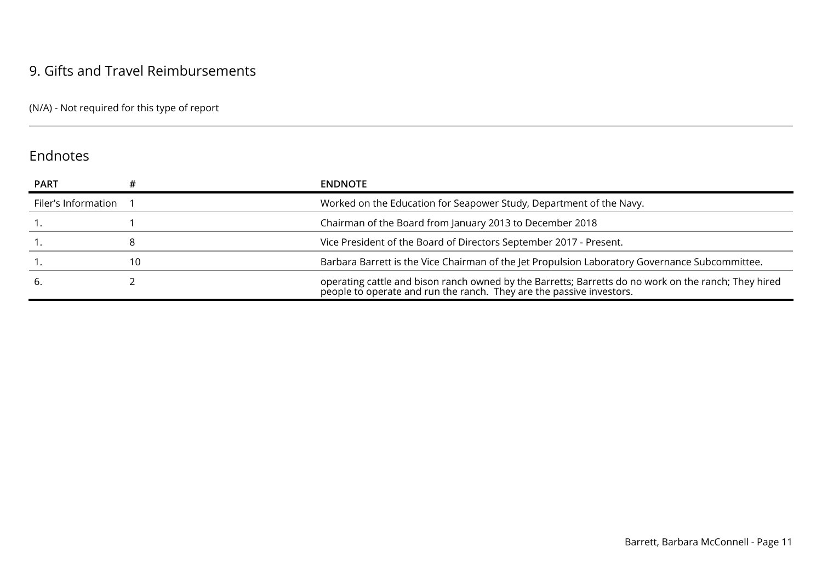### 9. Gifts and Travel Reimbursements

(N/A) - Not required for this type of report

### Endnotes

| <b>PART</b>         |    | <b>ENDNOTE</b>                                                                                                                                                               |
|---------------------|----|------------------------------------------------------------------------------------------------------------------------------------------------------------------------------|
| Filer's Information |    | Worked on the Education for Seapower Study, Department of the Navy.                                                                                                          |
|                     |    | Chairman of the Board from January 2013 to December 2018                                                                                                                     |
|                     |    | Vice President of the Board of Directors September 2017 - Present.                                                                                                           |
|                     | 10 | Barbara Barrett is the Vice Chairman of the Jet Propulsion Laboratory Governance Subcommittee.                                                                               |
|                     |    | operating cattle and bison ranch owned by the Barretts; Barretts do no work on the ranch; They hired<br>people to operate and run the ranch. They are the passive investors. |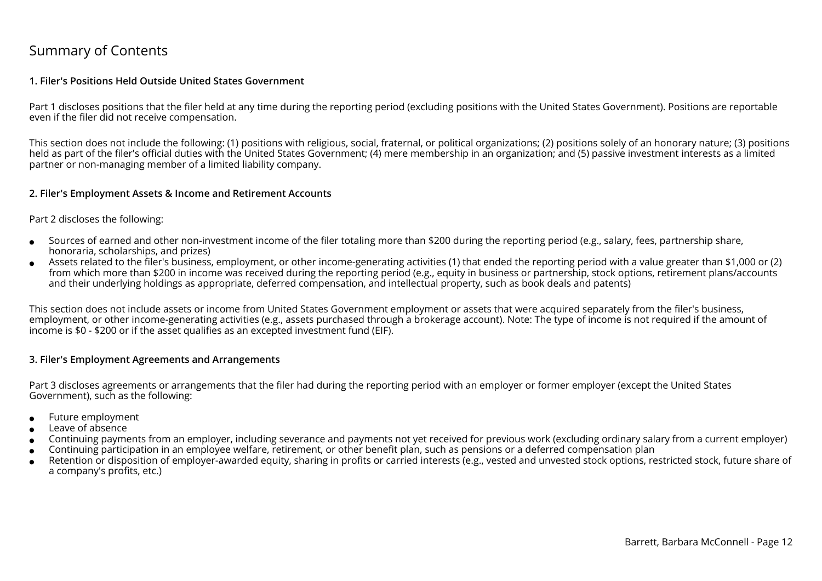### Summary of Contents

#### **1. Filer's Positions Held Outside United States Government**

Part 1 discloses positions that the filer held at any time during the reporting period (excluding positions with the United States Government). Positions are reportableeven if the filer did not receive compensation.

This section does not include the following: (1) positions with religious, social, fraternal, or political organizations; (2) positions solely of an honorary nature; (3) positionsheld as part of the filer's official duties with the United States Government; (4) mere membership in an organization; and (5) passive investment interests as a limitedpartner or non-managing member of a limited liability company.

#### **2. Filer's Employment Assets & Income and Retirement Accounts**

#### Part 2 discloses the following:

- ●Sources of earned and other non-investment income of the filer totaling more than \$200 during the reporting period (e.g., salary, fees, partnership share,honoraria, scholarships, and prizes)
- ● Assets related to the filer's business, employment, or other income-generating activities (1) that ended the reporting period with a value greater than \$1,000 or (2) from which more than \$200 in income was received during the reporting period (e.g., equity in business or partnership, stock options, retirement plans/accountsand their underlying holdings as appropriate, deferred compensation, and intellectual property, such as book deals and patents)

This section does not include assets or income from United States Government employment or assets that were acquired separately from the filer's business, employment, or other income-generating activities (e.g., assets purchased through a brokerage account). Note: The type of income is not required if the amount ofincome is \$0 - \$200 or if the asset qualifies as an excepted investment fund (EIF).

#### **3. Filer's Employment Agreements and Arrangements**

Part 3 discloses agreements or arrangements that the filer had during the reporting period with an employer or former employer (except the United StatesGovernment), such as the following:

- ●Future employment
- ●Leave of absence
- ●Continuing payments from an employer, including severance and payments not yet received for previous work (excluding ordinary salary from a current employer)
- ●Continuing participation in an employee welfare, retirement, or other benefit plan, such as pensions or a deferred compensation plan
- ● Retention or disposition of employer-awarded equity, sharing in profits or carried interests (e.g., vested and unvested stock options, restricted stock, future share ofa company's profits, etc.)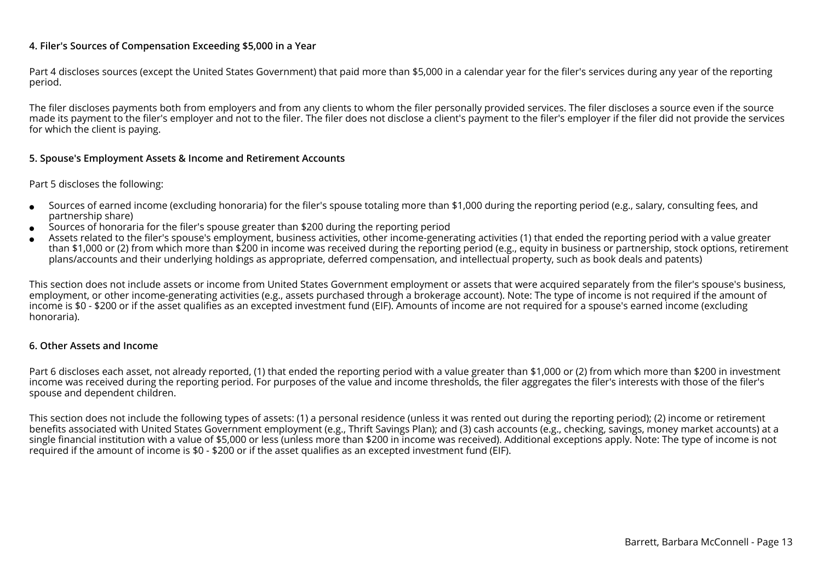#### **4. Filer's Sources of Compensation Exceeding \$5,000 in a Year**

Part 4 discloses sources (except the United States Government) that paid more than \$5,000 in a calendar year for the filer's services during any year of the reportingperiod.

The filer discloses payments both from employers and from any clients to whom the filer personally provided services. The filer discloses a source even if the source made its payment to the filer's employer and not to the filer. The filer does not disclose a client's payment to the filer's employer if the filer did not provide the servicesfor which the client is paying.

#### **5. Spouse's Employment Assets & Income and Retirement Accounts**

#### Part 5 discloses the following:

- ●Sources of earned income (excluding honoraria) for the filer's spouse totaling more than \$1,000 during the reporting period (e.g., salary, consulting fees, andpartnership share)
- ●Sources of honoraria for the filer's spouse greater than \$200 during the reporting period
- ● Assets related to the filer's spouse's employment, business activities, other income-generating activities (1) that ended the reporting period with a value greater than \$1,000 or (2) from which more than \$200 in income was received during the reporting period (e.g., equity in business or partnership, stock options, retirementplans/accounts and their underlying holdings as appropriate, deferred compensation, and intellectual property, such as book deals and patents)

This section does not include assets or income from United States Government employment or assets that were acquired separately from the filer's spouse's business,employment, or other income-generating activities (e.g., assets purchased through a brokerage account). Note: The type of income is not required if the amount ofincome is \$0 - \$200 or if the asset qualifies as an excepted investment fund (EIF). Amounts of income are not required for a spouse's earned income (excludinghonoraria).

#### **6. Other Assets and Income**

Part 6 discloses each asset, not already reported, (1) that ended the reporting period with a value greater than \$1,000 or (2) from which more than \$200 in investmentincome was received during the reporting period. For purposes of the value and income thresholds, the filer aggregates the filer's interests with those of the filer'sspouse and dependent children.

This section does not include the following types of assets: (1) a personal residence (unless it was rented out during the reporting period); (2) income or retirement benefits associated with United States Government employment (e.g., Thrift Savings Plan); and (3) cash accounts (e.g., checking, savings, money market accounts) at a single financial institution with a value of \$5,000 or less (unless more than \$200 in income was received). Additional exceptions apply. Note: The type of income is notrequired if the amount of income is \$0 - \$200 or if the asset qualifies as an excepted investment fund (EIF).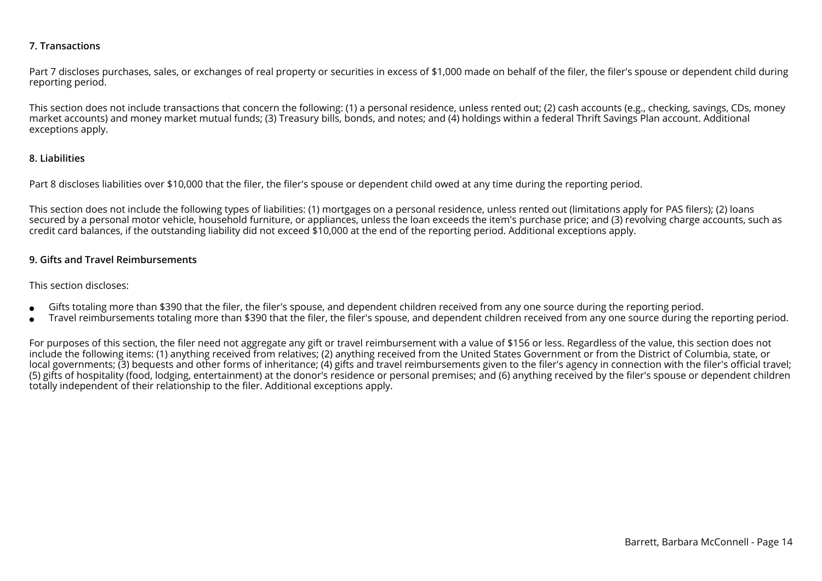#### **7. Transactions**

Part 7 discloses purchases, sales, or exchanges of real property or securities in excess of \$1,000 made on behalf of the filer, the filer's spouse or dependent child during reporting period.

This section does not include transactions that concern the following: (1) a personal residence, unless rented out; (2) cash accounts (e.g., checking, savings, CDs, moneymarket accounts) and money market mutual funds; (3) Treasury bills, bonds, and notes; and (4) holdings within a federal Thrift Savings Plan account. Additionalexceptions apply.

#### **8. Liabilities**

Part 8 discloses liabilities over \$10,000 that the filer, the filer's spouse or dependent child owed at any time during the reporting period.

This section does not include the following types of liabilities: (1) mortgages on a personal residence, unless rented out (limitations apply for PAS filers); (2) loans secured by a personal motor vehicle, household furniture, or appliances, unless the loan exceeds the item's purchase price; and (3) revolving charge accounts, such ascredit card balances, if the outstanding liability did not exceed \$10,000 at the end of the reporting period. Additional exceptions apply.

#### **9. Gifts and Travel Reimbursements**

#### This section discloses:

- ●Gifts totaling more than \$390 that the filer, the filer's spouse, and dependent children received from any one source during the reporting period.
- ●Travel reimbursements totaling more than \$390 that the filer, the filer's spouse, and dependent children received from any one source during the reporting period.

For purposes of this section, the filer need not aggregate any gift or travel reimbursement with a value of \$156 or less. Regardless of the value, this section does not include the following items: (1) anything received from relatives; (2) anything received from the United States Government or from the District of Columbia, state, or local governments; (3) bequests and other forms of inheritance; (4) gifts and travel reimbursements given to the filer's agency in connection with the filer's official travel; (5) gifts of hospitality (food, lodging, entertainment) at the donor's residence or personal premises; and (6) anything received by the filer's spouse or dependent childrentotally independent of their relationship to the filer. Additional exceptions apply.